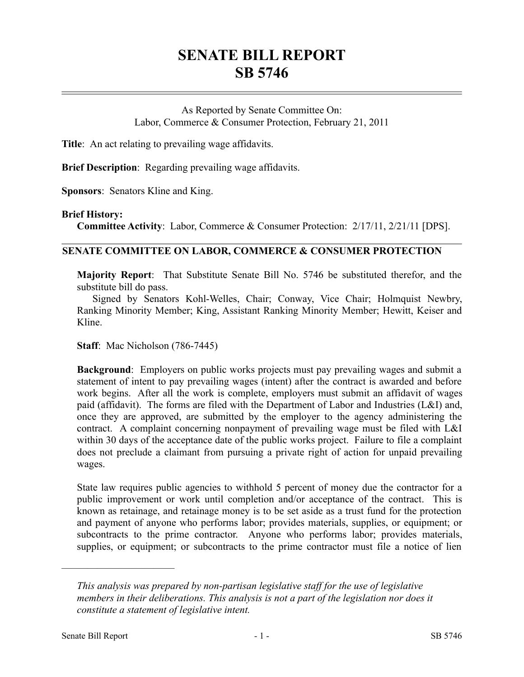## **SENATE BILL REPORT SB 5746**

As Reported by Senate Committee On: Labor, Commerce & Consumer Protection, February 21, 2011

**Title**: An act relating to prevailing wage affidavits.

**Brief Description**: Regarding prevailing wage affidavits.

**Sponsors**: Senators Kline and King.

## **Brief History:**

**Committee Activity**: Labor, Commerce & Consumer Protection: 2/17/11, 2/21/11 [DPS].

## **SENATE COMMITTEE ON LABOR, COMMERCE & CONSUMER PROTECTION**

**Majority Report**: That Substitute Senate Bill No. 5746 be substituted therefor, and the substitute bill do pass.

Signed by Senators Kohl-Welles, Chair; Conway, Vice Chair; Holmquist Newbry, Ranking Minority Member; King, Assistant Ranking Minority Member; Hewitt, Keiser and Kline.

**Staff**: Mac Nicholson (786-7445)

**Background**: Employers on public works projects must pay prevailing wages and submit a statement of intent to pay prevailing wages (intent) after the contract is awarded and before work begins. After all the work is complete, employers must submit an affidavit of wages paid (affidavit). The forms are filed with the Department of Labor and Industries (L&I) and, once they are approved, are submitted by the employer to the agency administering the contract. A complaint concerning nonpayment of prevailing wage must be filed with L&I within 30 days of the acceptance date of the public works project. Failure to file a complaint does not preclude a claimant from pursuing a private right of action for unpaid prevailing wages.

State law requires public agencies to withhold 5 percent of money due the contractor for a public improvement or work until completion and/or acceptance of the contract. This is known as retainage, and retainage money is to be set aside as a trust fund for the protection and payment of anyone who performs labor; provides materials, supplies, or equipment; or subcontracts to the prime contractor. Anyone who performs labor; provides materials, supplies, or equipment; or subcontracts to the prime contractor must file a notice of lien

––––––––––––––––––––––

*This analysis was prepared by non-partisan legislative staff for the use of legislative members in their deliberations. This analysis is not a part of the legislation nor does it constitute a statement of legislative intent.*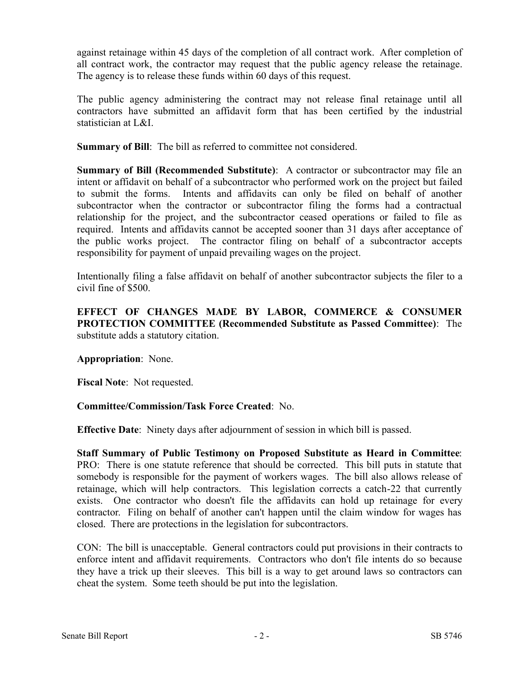against retainage within 45 days of the completion of all contract work. After completion of all contract work, the contractor may request that the public agency release the retainage. The agency is to release these funds within 60 days of this request.

The public agency administering the contract may not release final retainage until all contractors have submitted an affidavit form that has been certified by the industrial statistician at L&I.

**Summary of Bill**: The bill as referred to committee not considered.

**Summary of Bill (Recommended Substitute)**: A contractor or subcontractor may file an intent or affidavit on behalf of a subcontractor who performed work on the project but failed to submit the forms. Intents and affidavits can only be filed on behalf of another subcontractor when the contractor or subcontractor filing the forms had a contractual relationship for the project, and the subcontractor ceased operations or failed to file as required. Intents and affidavits cannot be accepted sooner than 31 days after acceptance of the public works project. The contractor filing on behalf of a subcontractor accepts responsibility for payment of unpaid prevailing wages on the project.

Intentionally filing a false affidavit on behalf of another subcontractor subjects the filer to a civil fine of \$500.

**EFFECT OF CHANGES MADE BY LABOR, COMMERCE & CONSUMER PROTECTION COMMITTEE (Recommended Substitute as Passed Committee)**: The substitute adds a statutory citation.

**Appropriation**: None.

**Fiscal Note**: Not requested.

## **Committee/Commission/Task Force Created**: No.

**Effective Date**: Ninety days after adjournment of session in which bill is passed.

**Staff Summary of Public Testimony on Proposed Substitute as Heard in Committee**: PRO: There is one statute reference that should be corrected. This bill puts in statute that somebody is responsible for the payment of workers wages. The bill also allows release of retainage, which will help contractors. This legislation corrects a catch-22 that currently exists. One contractor who doesn't file the affidavits can hold up retainage for every contractor. Filing on behalf of another can't happen until the claim window for wages has closed. There are protections in the legislation for subcontractors.

CON: The bill is unacceptable. General contractors could put provisions in their contracts to enforce intent and affidavit requirements. Contractors who don't file intents do so because they have a trick up their sleeves. This bill is a way to get around laws so contractors can cheat the system. Some teeth should be put into the legislation.